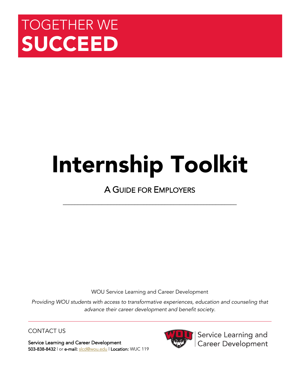

# Internship Toolkit

A GUIDE FOR EMPLOYERS

 $\mathcal{L}_\text{max}$  and  $\mathcal{L}_\text{max}$  and  $\mathcal{L}_\text{max}$  and  $\mathcal{L}_\text{max}$  and  $\mathcal{L}_\text{max}$ 

WOU Service Learning and Career Development

*Providing WOU students with access to transformative experiences, education and counseling that advance their career development and benefit society.*

CONTACT US

Service Learning and Career Development 503-838-8432 | or e-mail: slcd@wou.edu | Location: WUC 119



Service Learning and Career Development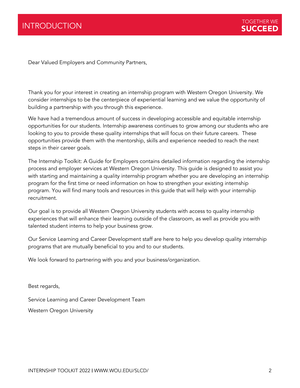Dear Valued Employers and Community Partners,

Thank you for your interest in creating an internship program with Western Oregon University. We consider internships to be the centerpiece of experiential learning and we value the opportunity of building a partnership with you through this experience.

We have had a tremendous amount of success in developing accessible and equitable internship opportunities for our students. Internship awareness continues to grow among our students who are looking to you to provide these quality internships that will focus on their future careers. These opportunities provide them with the mentorship, skills and experience needed to reach the next steps in their career goals.

The Internship Toolkit: A Guide for Employers contains detailed information regarding the internship process and employer services at Western Oregon University. This guide is designed to assist you with starting and maintaining a quality internship program whether you are developing an internship program for the first time or need information on how to strengthen your existing internship program. You will find many tools and resources in this guide that will help with your internship recruitment.

Our goal is to provide all Western Oregon University students with access to quality internship experiences that will enhance their learning outside of the classroom, as well as provide you with talented student interns to help your business grow.

Our Service Learning and Career Development staff are here to help you develop quality internship programs that are mutually beneficial to you and to our students.

We look forward to partnering with you and your business/organization.

Best regards,

Service Learning and Career Development Team

Western Oregon University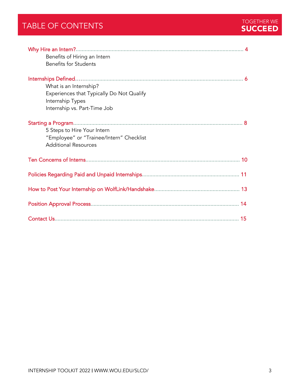## TABLE OF CONTENTS TABLE OF CONTENTS

| Benefits of Hiring an Intern<br><b>Benefits for Students</b>                                                            |  |
|-------------------------------------------------------------------------------------------------------------------------|--|
| What is an Internship?<br>Experiences that Typically Do Not Qualify<br>Internship Types<br>Internship vs. Part-Time Job |  |
| 5 Steps to Hire Your Intern<br>"Employee" or "Trainee/Intern" Checklist<br><b>Additional Resources</b>                  |  |
|                                                                                                                         |  |
|                                                                                                                         |  |
|                                                                                                                         |  |
|                                                                                                                         |  |
|                                                                                                                         |  |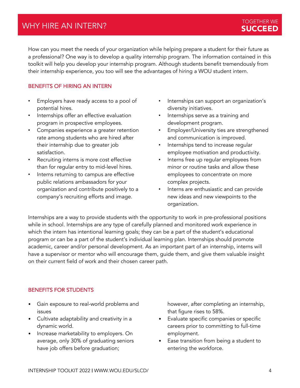How can you meet the needs of your organization while helping prepare a student for their future as a professional? One way is to develop a quality internship program. The information contained in this toolkit will help you develop your internship program. Although students benefit tremendously from their internship experience, you too will see the advantages of hiring a WOU student intern.

#### BENEFITS OF HIRING AN INTERN

- Employers have ready access to a pool of potential hires.
- Internships offer an effective evaluation program in prospective employees.
- Companies experience a greater retention rate among students who are hired after their internship due to greater job satisfaction.
- Recruiting interns is more cost effective than for regular entry to mid-level hires.
- Interns returning to campus are effective public relations ambassadors for your organization and contribute positively to a company's recruiting efforts and image.
- Internships can support an organization's diversity initiatives.
- Internships serve as a training and development program.
- Employer/University ties are strengthened and communication is improved.
- Internships tend to increase regular employee motivation and productivity.
- Interns free up regular employees from minor or routine tasks and allow these employees to concentrate on more complex projects.
- Interns are enthusiastic and can provide new ideas and new viewpoints to the organization.

Internships are a way to provide students with the opportunity to work in pre-professional positions while in school. Internships are any type of carefully planned and monitored work experience in which the intern has intentional learning goals; they can be a part of the student's educational program or can be a part of the student's individual learning plan. Internships should promote academic, career and/or personal development. As an important part of an internship, interns will have a supervisor or mentor who will encourage them, guide them, and give them valuable insight on their current field of work and their chosen career path.

#### BENEFITS FOR STUDENTS

- Gain exposure to real-world problems and issues
- Cultivate adaptability and creativity in a dynamic world.
- Increase marketability to employers. On average, only 30% of graduating seniors have job offers before graduation;

however, after completing an internship, that figure rises to 58%.

- Evaluate specific companies or specific careers prior to committing to full-time employment.
- Ease transition from being a student to entering the workforce.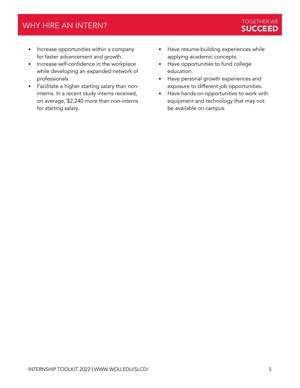- Increase opportunities within a company for faster advancement and growth.
- Increase self-confidence in the workplace while developing an expanded network of professionals.
- Facilitate a higher starting salary than noninterns. In a recent study interns received, on average, \$2,240 more than non-interns for starting salary.
- Have resume-building experiences while applying academic concepts.
- Have opportunities to fund college education.
- Have personal growth experiences and exposure to different job opportunities.
- Have hands-on opportunities to work with equipment and technology that may not be available on campus.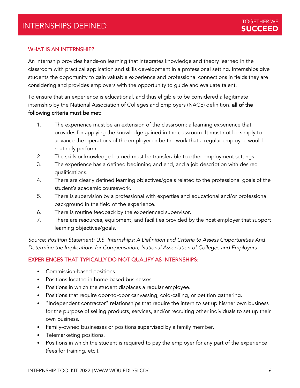#### WHAT IS AN INTERNSHIP?

An internship provides hands-on learning that integrates knowledge and theory learned in the classroom with practical application and skills development in a professional setting. Internships give students the opportunity to gain valuable experience and professional connections in fields they are considering and provides employers with the opportunity to guide and evaluate talent.

To ensure that an experience is educational, and thus eligible to be considered a legitimate internship by the National Association of Colleges and Employers (NACE) definition, all of the following criteria must be met:

- 1. The experience must be an extension of the classroom: a learning experience that provides for applying the knowledge gained in the classroom. It must not be simply to advance the operations of the employer or be the work that a regular employee would routinely perform.
- 2. The skills or knowledge learned must be transferable to other employment settings.
- 3. The experience has a defined beginning and end, and a job description with desired qualifications.
- 4. There are clearly defined learning objectives/goals related to the professional goals of the student's academic coursework.
- 5. There is supervision by a professional with expertise and educational and/or professional background in the field of the experience.
- 6. There is routine feedback by the experienced supervisor.
- 7. There are resources, equipment, and facilities provided by the host employer that support learning objectives/goals.

*Source: Position Statement: U.S. Internships: A Definition and Criteria to Assess Opportunities And Determine the Implications for Compensation, National Association of Colleges and Employers*

#### EXPERIENCES THAT TYPICALLY DO NOT QUALIFY AS INTERNSHIPS:

- Commission-based positions.
- Positions located in home-based businesses.
- Positions in which the student displaces a regular employee.
- Positions that require door-to-door canvassing, cold-calling, or petition gathering.
- "Independent contractor" relationships that require the intern to set up his/her own business for the purpose of selling products, services, and/or recruiting other individuals to set up their own business.
- Family-owned businesses or positions supervised by a family member.
- Telemarketing positions.
- Positions in which the student is required to pay the employer for any part of the experience (fees for training, etc.).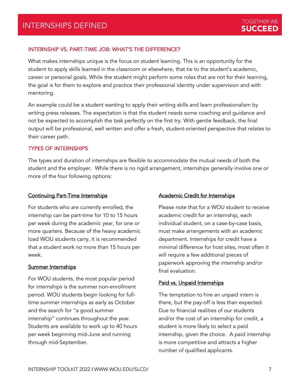#### INTERNSHIP VS. PART-TIME JOB: WHAT'S THE DIFFERENCE?

What makes internships unique is the focus on student learning. This is an opportunity for the student to apply skills learned in the classroom or elsewhere, that tie to the student's academic, career or personal goals. While the student might perform some roles that are not for their learning, the goal is for them to explore and practice their professional identity under supervision and with mentoring.

An example could be a student wanting to apply their writing skills and learn professionalism by writing press releases. The expectation is that the student needs some coaching and guidance and not be expected to accomplish the task perfectly on the first try. With gentle feedback, the final output will be professional, well written and offer a fresh, student-oriented perspective that relates to their career path.

#### TYPES OF INTERNSHIPS

The types and duration of internships are flexible to accommodate the mutual needs of both the student and the employer. While there is no rigid arrangement, internships generally involve one or more of the four following options:

#### Continuing Part-Time Internships

For students who are currently enrolled, the internship can be part-time for 10 to 15 hours per week during the academic year, for one or more quarters. Because of the heavy academic load WOU students carry, it is recommended that a student work no more than 15 hours per week.

#### Summer Internships

For WOU students, the most popular period for internships is the summer non-enrollment period. WOU students begin looking for fulltime summer internships as early as October and the search for "a good summer internship" continues throughout the year. Students are available to work up to 40 hours per week beginning mid-June and running through mid-September.

#### Academic Credit for Internships

Please note that for a WOU student to receive academic credit for an internship, each individual student, on a case-by-case basis, must make arrangements with an academic department. Internships for credit have a minimal difference for host sites, most often it will require a few additional pieces of paperwork approving the internship and/or final evaluation.

#### Paid vs. Unpaid Internships

The temptation to hire an unpaid intern is there, but the pay-off is less than expected. Due to financial realities of our students and/or the cost of an internship for credit, a student is more likely to select a paid internship, given the choice. A paid internship is more competitive and attracts a higher number of qualified applicants.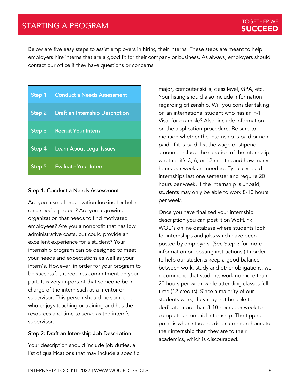### TOGETHER WE STARTING A PROGRAM SUCCEED AND TO SUCCEED SUCCEED

Below are five easy steps to assist employers in hiring their interns. These steps are meant to help employers hire interns that are a good fit for their company or business. As always, employers should contact our office if they have questions or concerns.

| Step 1            | <b>Conduct a Needs Assessment</b>      |
|-------------------|----------------------------------------|
| Step 2            | <b>Draft an Internship Description</b> |
| Step 3            | <b>Recruit Your Intern</b>             |
| Step <sub>4</sub> | Learn About Legal Issues               |
| Step 5            | <b>Evaluate Your Intern</b>            |

#### Step 1: Conduct a Needs Assessment

Are you a small organization looking for help on a special project? Are you a growing organization that needs to find motivated employees? Are you a nonprofit that has low administrative costs, but could provide an excellent experience for a student? Your internship program can be designed to meet your needs and expectations as well as your intern's. However, in order for your program to be successful, it requires commitment on your part. It is very important that someone be in charge of the intern such as a mentor or supervisor. This person should be someone who enjoys teaching or training and has the resources and time to serve as the intern's supervisor.

#### Step 2: Draft an Internship Job Description

Your description should include job duties, a list of qualifications that may include a specific

major, computer skills, class level, GPA, etc. Your listing should also include information regarding citizenship. Will you consider taking on an international student who has an F-1 Visa, for example? Also, include information on the application procedure. Be sure to mention whether the internship is paid or nonpaid. If it is paid, list the wage or stipend amount. Include the duration of the internship, whether it's 3, 6, or 12 months and how many hours per week are needed. Typically, paid internships last one semester and require 20 hours per week. If the internship is unpaid, students may only be able to work 8-10 hours per week.

Once you have finalized your internship description you can post it on WolfLink, WOU's online database where students look for internships and jobs which have been posted by employers. (See Step 3 for more information on posting instructions.) In order to help our students keep a good balance between work, study and other obligations, we recommend that students work no more than 20 hours per week while attending classes fulltime (12 credits). Since a majority of our students work, they may not be able to dedicate more than 8-10 hours per week to complete an unpaid internship. The tipping point is when students dedicate more hours to their internship than they are to their academics, which is discouraged.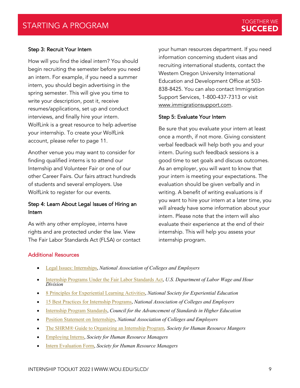#### Step 3: Recruit Your Intern

How will you find the ideal intern? You should begin recruiting the semester before you need an intern. For example, if you need a summer intern, you should begin advertising in the spring semester. This will give you time to write your description, post it, receive resumes/applications, set up and conduct interviews, and finally hire your intern. WolfLink is a great resource to help advertise your internship. To create your WolfLink account, please refer to page 11.

Another venue you may want to consider for finding qualified interns is to attend our Internship and Volunteer Fair or one of our other Career Fairs. Our fairs attract hundreds of students and several employers. Use WolfLink to register for our events.

#### Step 4: Learn About Legal Issues of Hiring an Intern

As with any other employee, interns have rights and are protected under the law. View The Fair Labor Standards Act (FLSA) or contact

your human resources department. If you need information concerning student visas and recruiting international students, contact the Western Oregon University International Education and Development Office at 503- 838-8425. You can also contact Immigration Support Services, 1-800-437-7313 or visit www.immigrationsupport.com.

#### Step 5: Evaluate Your Intern

Be sure that you evaluate your intern at least once a month, if not more. Giving consistent verbal feedback will help both you and your intern. During such feedback sessions is a good time to set goals and discuss outcomes. As an employer, you will want to know that your intern is meeting your expectations. The evaluation should be given verbally and in writing. A benefit of writing evaluations is if you want to hire your intern at a later time, you will already have some information about your intern. Please note that the intern will also evaluate their experience at the end of their internship. This will help you assess your internship program.

#### Additional Resources

- Legal Issues: Internships, *National Association of Colleges and Employers*
- Internship Programs Under the Fair Labor Standards Act, *U.S. Department of Labor Wage and Hour Division*
- 8 Principles for Experiential Learning Activities, *National Society for Experiential Education*
- 15 Best Practices for Internship Programs, *National Association of Colleges and Employers*
- Internship Program Standards, *Council for the Advancement of Standards in Higher Education*
- Position Statement on Internships, *National Association of Colleges and Employers*
- The SHRM® Guide to Organizing an Internship Program*, Society for Human Resource Mangers*
- Employing Interns, *Society for Human Resource Managers*
- Intern Evaluation Form, *Society for Human Resource Managers*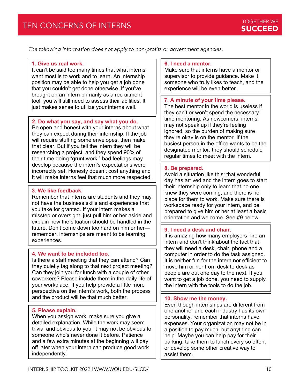*The following information does not apply to non-profits or government agencies.*

#### **1. Give us real work.**

It can't be said too many times that what interns want most is to work and to learn. An internship position may be able to help you get a job done that you couldn't get done otherwise. If you've brought on an intern primarily as a recruitment tool, you will still need to assess their abilities. It just makes sense to utilize your interns well.

#### **2. Do what you say, and say what you do.**

Be open and honest with your interns about what they can expect during their internship. If the job will require stuffing some envelopes, then make that clear. But if you tell the intern they will be researching a project, and they spend 90% of their time doing "grunt work," bad feelings may develop because the intern's expectations were incorrectly set. Honesty doesn't cost anything and it will make interns feel that much more respected.

#### **3. We like feedback.**

Remember that interns are students and they may not have the business skills and experiences that you take for granted. If your intern makes a misstep or oversight, just pull him or her aside and explain how the situation should be handled in the future. Don't come down too hard on him or her remember, internships are meant to be learning experiences.

#### **4. We want to be included too.**

Is there a staff meeting that they can attend? Can they quietly tag along to that next project meeting? Can they join you for lunch with a couple of other coworkers? Please include them in the daily life of your workplace. If you help provide a little more perspective on the intern's work, both the process and the product will be that much better.

#### **5. Please explain.**

When you assign work, make sure you give a detailed explanation. While the work may seem trivial and obvious to you, it may not be obvious to someone who's never done it before. Patience and a few extra minutes at the beginning will pay off later when your intern can produce good work independently.

#### **6. I need a mentor.**

Make sure that interns have a mentor or supervisor to provide guidance. Make it someone who truly likes to teach, and the experience will be even better.

#### **7. A minute of your time please.**

The best mentor in the world is useless if they can't or won't spend the necessary time mentoring. As newcomers, interns may not speak up if they're feeling ignored, so the burden of making sure they're okay is on the mentor. If the busiest person in the office wants to be the designated mentor, they should schedule regular times to meet with the intern.

#### **8. Be prepared.**

Avoid a situation like this: that wonderful day has arrived and the intern goes to start their internship only to learn that no one knew they were coming, and there is no place for them to work. Make sure there is workspace ready for your intern, and be prepared to give him or her at least a basic orientation and welcome. See #9 below.

#### **9. I need a desk and chair.**

It is amazing how many employers hire an intern and don't think about the fact that they will need a desk, chair, phone and a computer in order to do the task assigned. It is neither fun for the intern nor efficient to move him or her from desk to desk as people are out one day to the next. If you want to get a job done, you need to supply the intern with the tools to do the job.

#### **10. Show me the money.**

Even though internships are different from one another and each industry has its own personality, remember that interns have expenses. Your organization may not be in a position to pay much, but anything can help. Maybe you can help pay for their parking, take them to lunch every so often, or develop some other creative way to assist them.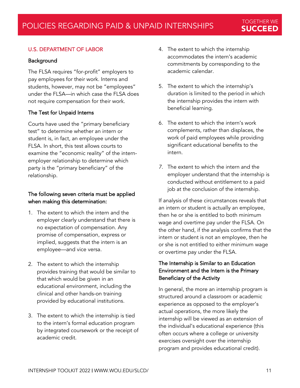#### U.S. DEPARTMENT OF LABOR

#### **Background**

The FLSA requires "for-profit" employers to pay employees for their work. Interns and students, however, may not be "employees" under the FLSA—in which case the FLSA does not require compensation for their work.

#### The Test for Unpaid Interns

Courts have used the "primary beneficiary test" to determine whether an intern or student is, in fact, an employee under the FLSA. In short, this test allows courts to examine the "economic reality" of the internemployer relationship to determine which party is the "primary beneficiary" of the relationship.

#### The following seven criteria must be applied when making this determination:

- 1. The extent to which the intern and the employer clearly understand that there is no expectation of compensation. Any promise of compensation, express or implied, suggests that the intern is an employee—and vice versa.
- 2. The extent to which the internship provides training that would be similar to that which would be given in an educational environment, including the clinical and other hands-on training provided by educational institutions.
- 3. The extent to which the internship is tied to the intern's formal education program by integrated coursework or the receipt of academic credit.
- 4. The extent to which the internship accommodates the intern's academic commitments by corresponding to the academic calendar.
- 5. The extent to which the internship's duration is limited to the period in which the internship provides the intern with beneficial learning.
- 6. The extent to which the intern's work complements, rather than displaces, the work of paid employees while providing significant educational benefits to the intern.
- *7.* The extent to which the intern and the employer understand that the internship is conducted without entitlement to a paid job at the conclusion of the internship.

If analysis of these circumstances reveals that an intern or student is actually an employee, then he or she is entitled to both minimum wage and overtime pay under the FLSA. On the other hand, if the analysis confirms that the intern or student is not an employee, then he or she is not entitled to either minimum wage or overtime pay under the FLSA.

#### The Internship is Similar to an Education Environment and the Intern is the Primary Beneficiary of the Activity

In general, the more an internship program is structured around a classroom or academic experience as opposed to the employer's actual operations, the more likely the internship will be viewed as an extension of the individual's educational experience (this often occurs where a college or university exercises oversight over the internship program and provides educational credit).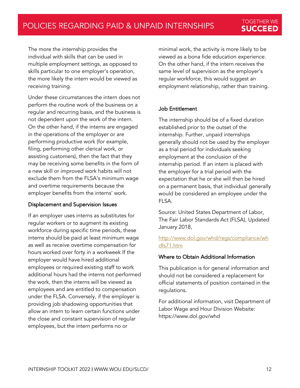The more the internship provides the individual with skills that can be used in multiple employment settings, as opposed to skills particular to one employer's operation, the more likely the intern would be viewed as receiving training.

Under these circumstances the intern does not perform the routine work of the business on a regular and recurring basis, and the business is not dependent upon the work of the intern. On the other hand, if the interns are engaged in the operations of the employer or are performing productive work (for example, filing, performing other clerical work, or assisting customers), then the fact that they may be receiving some benefits in the form of a new skill or improved work habits will not exclude them from the FLSA's minimum wage and overtime requirements because the employer benefits from the interns' work.

#### Displacement and Supervision Issues

If an employer uses interns as substitutes for regular workers or to augment its existing workforce during specific time periods, these interns should be paid at least minimum wage as well as receive overtime compensation for hours worked over forty in a workweek If the employer would have hired additional employees or required existing staff to work additional hours had the interns not performed the work, then the interns will be viewed as employees and are entitled to compensation under the FLSA. Conversely, if the employer is providing job shadowing opportunities that allow an intern to learn certain functions under the close and constant supervision of regular employees, but the intern performs no or

minimal work, the activity is more likely to be viewed as a bona fide education experience. On the other hand, if the intern receives the same level of supervision as the employer's regular workforce, this would suggest an employment relationship, rather than training.

#### Job Entitlement

The internship should be of a fixed duration established prior to the outset of the internship. Further, unpaid internships generally should not be used by the employer as a trial period for individuals seeking employment at the conclusion of the internship period. If an intern is placed with the employer for a trial period with the expectation that he or she will then be hired on a permanent basis, that individual generally would be considered an employee under the FLSA.

Source: United States Department of Labor, The Fair Labor Standards Act (FLSA), Updated January 2018,

#### http://www.dol.gov/whd/regs/compliance/wh dfs71.htm

#### Where to Obtain Additional Information

This publication is for general information and should not be considered a replacement for official statements of position contained in the regulations.

For additional information, visit Department of Labor Wage and Hour Division Website: https://www.dol.gov/whd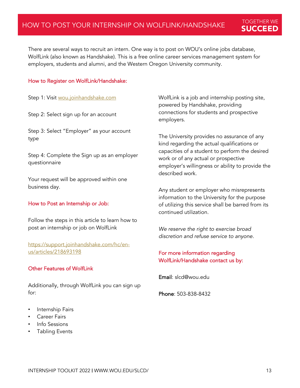There are several ways to recruit an intern. One way is to post on WOU's online jobs database, WolfLink (also known as Handshake). This is a free online career services management system for employers, students and alumni, and the Western Oregon University community.

#### How to Register on WolfLink/Handshake:

Step 1: Visit wou.joinhandshake.com

Step 2: Select sign up for an account

Step 3: Select "Employer" as your account type

Step 4: Complete the Sign up as an employer questionnaire

Your request will be approved within one business day.

#### How to Post an Internship or Job:

Follow the steps in this article to learn how to post an internship or job on WolfLink

https://support.joinhandshake.com/hc/enus/articles/218693198

#### Other Features of WolfLink

Additionally, through WolfLink you can sign up for:

- Internship Fairs
- Career Fairs
- Info Sessions
- **Tabling Events**

WolfLink is a job and internship posting site, powered by Handshake, providing connections for students and prospective employers.

The University provides no assurance of any kind regarding the actual qualifications or capacities of a student to perform the desired work or of any actual or prospective employer's willingness or ability to provide the described work.

Any student or employer who misrepresents information to the University for the purpose of utilizing this service shall be barred from its continued utilization.

*We reserve the right to exercise broad discretion and refuse service to anyone.*

#### For more information regarding WolfLink/Handshake contact us by:

Email: slcd@wou.edu

Phone: 503-838-8432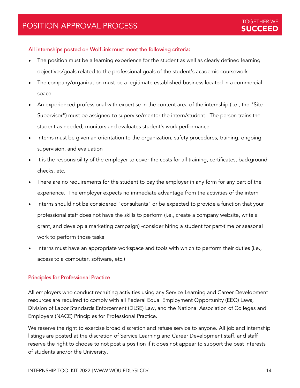#### All internships posted on WolfLink must meet the following criteria:

- The position must be a learning experience for the student as well as clearly defined learning objectives/goals related to the professional goals of the student's academic coursework
- The company/organization must be a legitimate established business located in a commercial space
- An experienced professional with expertise in the content area of the internship (i.e., the "Site Supervisor") must be assigned to supervise/mentor the intern/student. The person trains the student as needed, monitors and evaluates student's work performance
- Interns must be given an orientation to the organization, safety procedures, training, ongoing supervision, and evaluation
- It is the responsibility of the employer to cover the costs for all training, certificates, background checks, etc.
- There are no requirements for the student to pay the employer in any form for any part of the experience. The employer expects no immediate advantage from the activities of the intern
- Interns should not be considered "consultants" or be expected to provide a function that your professional staff does not have the skills to perform (i.e., create a company website, write a grant, and develop a marketing campaign) -consider hiring a student for part-time or seasonal work to perform those tasks
- Interns must have an appropriate workspace and tools with which to perform their duties (i.e., access to a computer, software, etc.)

#### Principles for Professional Practice

All employers who conduct recruiting activities using any Service Learning and Career Development resources are required to comply with all Federal Equal Employment Opportunity (EEO) Laws, Division of Labor Standards Enforcement (DLSE) Law, and the National Association of Colleges and Employers (NACE) Principles for Professional Practice.

We reserve the right to exercise broad discretion and refuse service to anyone. All job and internship listings are posted at the discretion of Service Learning and Career Development staff, and staff reserve the right to choose to not post a position if it does not appear to support the best interests of students and/or the University.